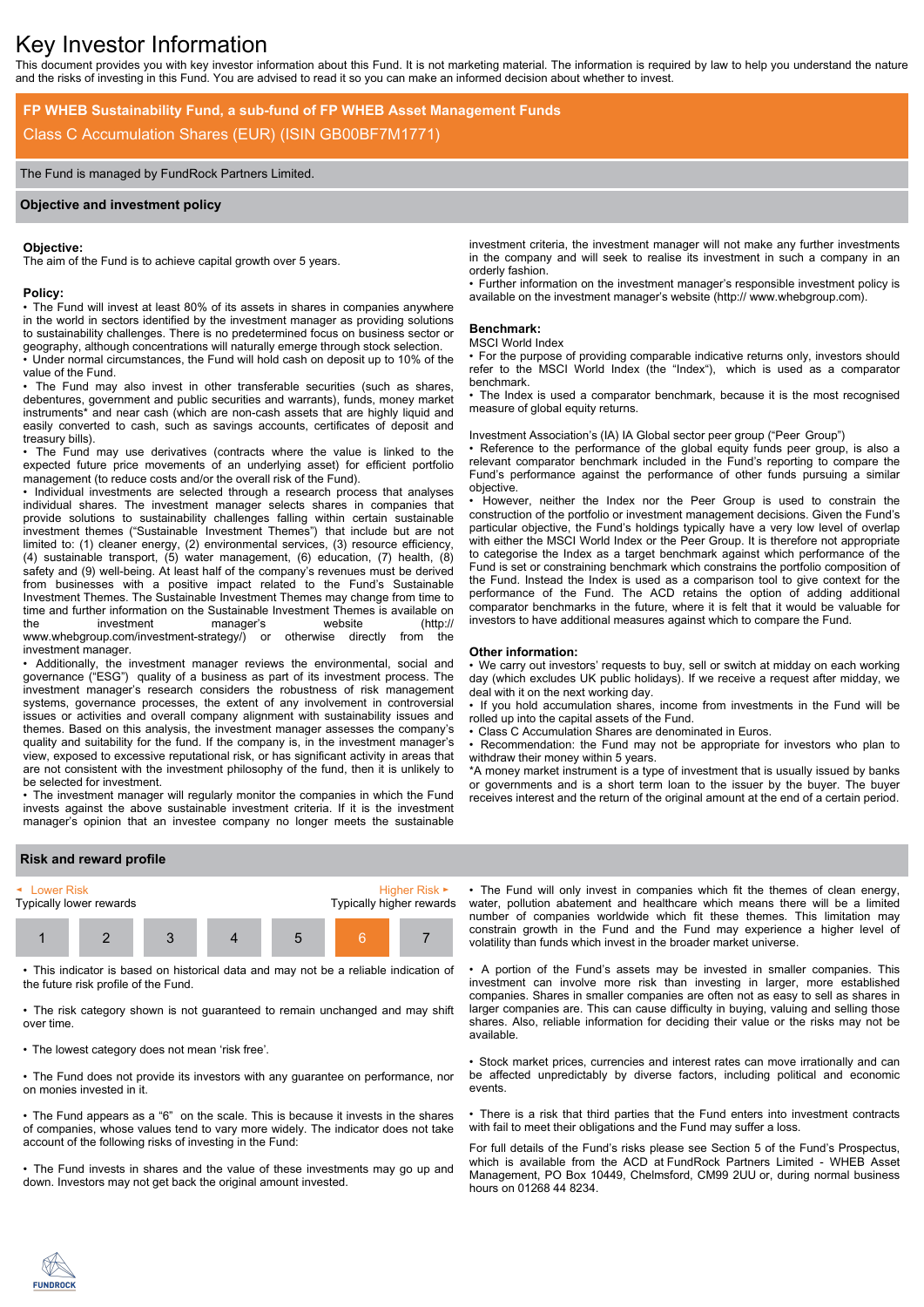# Key Investor Information

This document provides you with key investor information about this Fund. It is not marketing material. The information is required by law to help you understand the nature and the risks of investing in this Fund. You are advised to read it so you can make an informed decision about whether to invest.

# **FP WHEB Sustainability Fund, a sub-fund of FP WHEB Asset Management Funds** Class C Accumulation Shares (EUR) (ISIN GB00BF7M1771)

# The Fund is managed by FundRock Partners Limited.

# **Objective and investment policy**

#### **Objective:**

The aim of the Fund is to achieve capital growth over 5 years.

#### **Policy:**

• The Fund will invest at least 80% of its assets in shares in companies anywhere in the world in sectors identified by the investment manager as providing solutions to sustainability challenges. There is no predetermined focus on business sector or geography, although concentrations will naturally emerge through stock selection.

• Under normal circumstances, the Fund will hold cash on deposit up to 10% of the value of the Fund.

The Fund may also invest in other transferable securities (such as shares, debentures, government and public securities and warrants), funds, money market instruments\* and near cash (which are non-cash assets that are highly liquid and easily converted to cash, such as savings accounts, certificates of deposit and treasury bills).

• The Fund may use derivatives (contracts where the value is linked to the expected future price movements of an underlying asset) for efficient portfolio management (to reduce costs and/or the overall risk of the Fund).

• Individual investments are selected through a research process that analyses individual shares. The investment manager selects shares in companies that provide solutions to sustainability challenges falling within certain sustainable investment themes ("Sustainable Investment Themes") that include but are not limited to: (1) cleaner energy, (2) environmental services, (3) resource efficiency, (4) sustainable transport, (5) water management, (6) education, (7) health, (8) safety and (9) well-being. At least half of the company's revenues must be derived from businesses with a positive impact related to the Fund's Sustainable Investment Themes. The Sustainable Investment Themes may change from time to time and further information on the Sustainable Investment Themes is available on the investment manager's website (http:// www.whebgroup.com/investment-strategy/) or otherwise directly from the investment manager.

• Additionally, the investment manager reviews the environmental, social and governance ("ESG") quality of a business as part of its investment process. The investment manager's research considers the robustness of risk management systems, governance processes, the extent of any involvement in controversial issues or activities and overall company alignment with sustainability issues and themes. Based on this analysis, the investment manager assesses the company's quality and suitability for the fund. If the company is, in the investment manager's view, exposed to excessive reputational risk, or has significant activity in areas that are not consistent with the investment philosophy of the fund, then it is unlikely to be selected for investment.

• The investment manager will regularly monitor the companies in which the Fund invests against the above sustainable investment criteria. If it is the investment manager's opinion that an investee company no longer meets the sustainable

investment criteria, the investment manager will not make any further investments in the company and will seek to realise its investment in such a company in an orderly fashion.

• Further information on the investment manager's responsible investment policy is available on the investment manager's website (http:// www.whebgroup.com).

#### **Benchmark:**

#### MSCI World Index

• For the purpose of providing comparable indicative returns only, investors should refer to the MSCI World Index (the "Index"), which is used as a comparator benchmark.

• The Index is used a comparator benchmark, because it is the most recognised measure of global equity returns.

# Investment Association's (IA) IA Global sector peer group ("Peer Group")

• Reference to the performance of the global equity funds peer group, is also a relevant comparator benchmark included in the Fund's reporting to compare the Fund's performance against the performance of other funds pursuing a similar objective.

• However, neither the Index nor the Peer Group is used to constrain the construction of the portfolio or investment management decisions. Given the Fund's particular objective, the Fund's holdings typically have a very low level of overlap with either the MSCI World Index or the Peer Group. It is therefore not appropriate to categorise the Index as a target benchmark against which performance of the Fund is set or constraining benchmark which constrains the portfolio composition of the Fund. Instead the Index is used as a comparison tool to give context for the performance of the Fund. The ACD retains the option of adding additional comparator benchmarks in the future, where it is felt that it would be valuable for investors to have additional measures against which to compare the Fund.

#### **Other information:**

• We carry out investors' requests to buy, sell or switch at midday on each working day (which excludes UK public holidays). If we receive a request after midday, we deal with it on the next working day.

• If you hold accumulation shares, income from investments in the Fund will be rolled up into the capital assets of the Fund.

• Class C Accumulation Shares are denominated in Euros.

• Recommendation: the Fund may not be appropriate for investors who plan to withdraw their money within 5 years.

\*A money market instrument is a type of investment that is usually issued by banks or governments and is a short term loan to the issuer by the buyer. The buyer receives interest and the return of the original amount at the end of a certain period.

# **Risk and reward profile**



• This indicator is based on historical data and may not be a reliable indication of the future risk profile of the Fund.

• The risk category shown is not guaranteed to remain unchanged and may shift over time.

• The lowest category does not mean 'risk free'.

• The Fund does not provide its investors with any guarantee on performance, nor on monies invested in it.

• The Fund appears as a "6" on the scale. This is because it invests in the shares of companies, whose values tend to vary more widely. The indicator does not take account of the following risks of investing in the Fund:

• The Fund invests in shares and the value of these investments may go up and down. Investors may not get back the original amount invested.

• The Fund will only invest in companies which fit the themes of clean energy, water, pollution abatement and healthcare which means there will be a limited number of companies worldwide which fit these themes. This limitation may constrain growth in the Fund and the Fund may experience a higher level of volatility than funds which invest in the broader market universe.

• A portion of the Fund's assets may be invested in smaller companies. This investment can involve more risk than investing in larger, more established companies. Shares in smaller companies are often not as easy to sell as shares in larger companies are. This can cause difficulty in buying, valuing and selling those shares. Also, reliable information for deciding their value or the risks may not be available.

• Stock market prices, currencies and interest rates can move irrationally and can be affected unpredictably by diverse factors, including political and economic events.

• There is a risk that third parties that the Fund enters into investment contracts with fail to meet their obligations and the Fund may suffer a loss.

For full details of the Fund's risks please see Section 5 of the Fund's Prospectus, which is available from the ACD at FundRock Partners Limited - WHEB Asset Management, PO Box 10449, Chelmsford, CM99 2UU or, during normal business hours on 01268 44 8234.